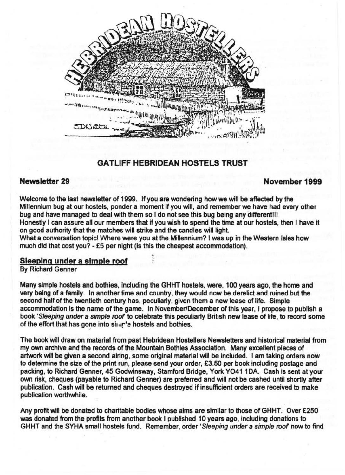

# **GATLIFF HEBRIDEAN HOSTELS TRUST**

# **Newsletter 29 November 1999**

Welcome to the last newsletter of 1999. If you are wondering how we will be affected by the Millennium bug at our hostels, ponder a moment if you will, and remember we have had every other bug and have managed to deal with them so I do not see this bug being any different!!! Honestly I can assure all our members that if you wish to spend the time at our hostels, then J have it on good authority that the matches will strike and the candles will light. What a conversation topic! Where were you at the Millennium? I was up in the Western Isles how much did that cost you? - £5 per night (is this the cheapest accommodation).

#### **Sleeping under a simple roof**

By Richard Genner

Many simple hostels and bothies, including the GHHT hostels, were, 100 years ago, the home and very being of a family. In another time and country~ they would now be derelict and ruined but the second half of the twentieth century has, peculiarly, given them a new lease of life. Simple accommodation is the name of the game. In November/December of this year, I propose to publish a book 'Sleeping under a simple roof' to celebrate this peculiarly British new lease of life, to record some of the effort that has gone into simple hostels and bothies.

The book will draw on material from past Hebridean Hostellers Newsletters and historical material from my own archive and the records of the Mountain Bothies Association. Many excellent pieces of artwork will be given a second airing, some original material will be included. I am taking orders now to determine the size of the print run, please send your order, £3.50 per book including postage and packing, to Richard Genner, 45 Godwinsway, Stamford Bridge, York Y0411DA. Cash is sent at your own risk, cheques (payable to Richard Genner) are preferred and will not be cashed until shortly after publication. Cash will be returned and cheques destroyed if insufficient orders are received to make publication worthwhile.

Any profit will be donated to charitable bodies whose aims are similar to those of GHHT. Over £250 was donated from the profits from another book I published 10 years ago, including donations to GHHT and the SYHA small hostels fund. Remember, order 'S/eeping under a simple roof now to find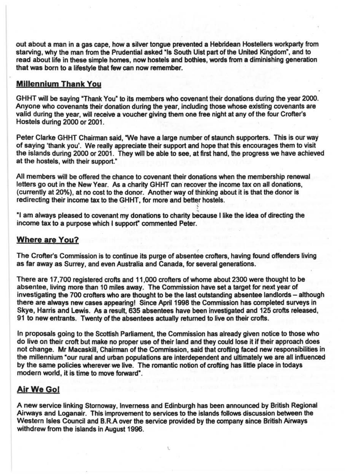out about a man in a gas cape, how a silver tongue prevented a Hebridean Hostellers workparty from starving, why the man from the Prudential asked "Is South Uist part of the United Kingdom", and to read about life in these simple homes, now hostels and bothies, words from a diminishing generation that was born to a lifestyle that few can now remember.

#### **Millennium Thank You**

GHHT will be saying "Thank You" to its members who covenant their donations during the year 2000. Anyone who covenants their donation during the year, including those whose existing covenants are valid during the year, will receive a voucher giving them one free night at any of the four Crofter's Hostels during 2000 or 2001.

Peter Clarke GHHT Chairman said, "We have a large number of staunch supporters. This is our way of saying 'thank you'. We really appreciate their support and hope that this encourages them to visit the islands during 2000 or 2001 . They will be able to see, at first hand, the progress we have achieved at the hostels, with their support:

All members will be offered the chance to covenant their donations when the membership renewal letters go out in the New Year. As a charity GHHT can recover the income tax on all donations, (currently at 20%), at no cost to the donor. Another way of thinking about it is that the donor is redirecting their income tax to the GHHT, for more and better hostels.

"I am always pleased to covenant my donations to charity because I like the idea of directing the income tax to a purpose which I support" commented Peter.

## **Where are You?**

The Crofter's Commission is to continue its purge of absentee crofters, having found offenders living as far away as Surrey, and even Australia and Canada, for several generations.

There are 17,700 registered crofts and 11,000 crofters of whome about 2300 were thought to be absentee, living more than 10 miles away. The Commission have set a target for next year of investigating the 700 crofters who are thought to be the last outstanding absentee landlords - although there are always new cases appearing! Since April 1998 the Commission has completed surveys in Skye, Harris and Lewis. As a result, 635 absentees have been investigated and 125 crofts released, 91 to new entrants. Twenty of the absentees actually returned to live on their crofts.

In proposals going to the Scottish Parliament, the Commission has already given notice to those who do live on their croft but make no proper use of their land and they could lose it if their approach does not change. Mr Macaskill, Chairman of the Commission, said that crofting faced new responsibilities in the millennium "our rural and urban populations are interdependent and ultimately we are all influenced by the same policies wherever. we live. The romantic notion of crofting has little place in todays modern world, it is time to move forward".

## Air We **Gol**

A new service linking Stornoway, Inverness and Edinburgh has been announced by British Regional Airways and Loganair. This improvement to services to the islands follows discussion between the Western Isles Council and B.R.A over the service provided by the company since British Airways withdrew from the islands in August 1996.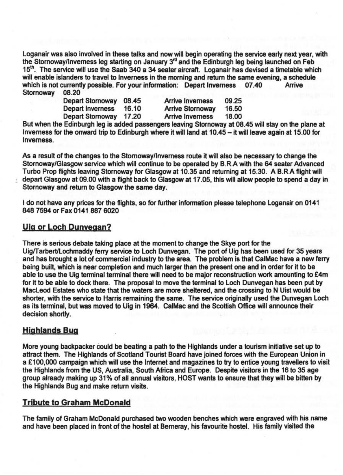loganair was also involved in these talks and now will begin operating the service early next year, with the Stornoway/Inverness leg starting on January  $3<sup>rd</sup>$  and the Edinburgh leg being launched on Feb 15<sup>th</sup>. The service will use the Saab 340 a 34 seater aircraft. Loganair has devised a timetable which will enable islanders to travel to Inverness in the morning and return the same evening, a schedule<br>which is not currently possible. For your information: Depart Inverness 07.40 Arrive which is not currently possible. For your information: Depart Inverness<br>Stornoway 08.20 Stornoway

| Depart Stornoway<br>Depart Inverness<br><b>Depart Stornoway</b> | 08.45          | <b>Arrive Inverness</b>                            | 09.25          |
|-----------------------------------------------------------------|----------------|----------------------------------------------------|----------------|
|                                                                 | 16.10<br>17.20 | <b>Arrive Stornoway</b><br><b>Arrive Inverness</b> | 16.50<br>18.00 |

But when the Edinburgh leg is added passengers leaving Stornoway at 08.45 will stay on the plane at Inverness for the onward trip to Edinburgh where it will land at 10.45 - it will leave again at 15.00 for Inverness.

As a result of the changes to the Stomowayllnverness route it will also be necessary to change the Stornoway/Glasgow service which will continue to be operated by B.R.A with the 64 seater Advanced Turbo Prop flights leaving Stornoway for Glasgow at 10.35 and returning at 15.30. A B.R.A flight will depart Glasgow at 09.00 with a flight back to Glasgow at 17.05, this will allow people to spend a day in Stornoway and return to Glasgow the same day.

I do not have any prices for the flights, so for further information please telephone loganair on 0141 8487594 or Fax 01418876020

## **Uig or Loch Dunvegan?**

There is serious debate taking place at the moment to change the Skye port for the Uig/Tarbert/Lochmaddy ferry service to Loch Dunvegan. The port of Uig has been used for 35 years and has brought a lot of commercial industry to the area. The problem is that Cal Mac have a new ferry being built, which is near completion and much larger than the present one and in order for it to be able to use the Uig terminal terminal there will need to be major reconstruction work amounting to £4m for it to be able to dock there. The proposal to move the terminal to loch Dunvegan has been put by Macleod Estates who state that the waters are more sheltered, and the crossing to N Uist would be shorter, with the service to Harris remaining the same. The service originally used the Dunvegan loch as its terminal, but was moved to Uig in 1964. CalMac and the Scottish Office will announce their decision shortly.

## **Highlands Bug**

More young backpacker could be beating a path to the Highlands under a tourism initiative set up to attract them. The Highlands of Scotland Tourist Board have joined forces with the European Union in a £100,000 campaign which will use the Internet and magazines to try to entice young travellers to visit the Highlands from the US, Australia, South Africa and Europe. Despite visitors in the 16 to 35 age group already making up 31% of all annual visitors, HOST wants to ensure that they will be bitten by the Highlands Bug and make return visits.

## **Tribute to Graham McDonald**

The family of Graham McDonald purchased two wooden benches which were engraved with his name and have been placed in front of the hostel at Berneray, his favourite hostel. His family visited the